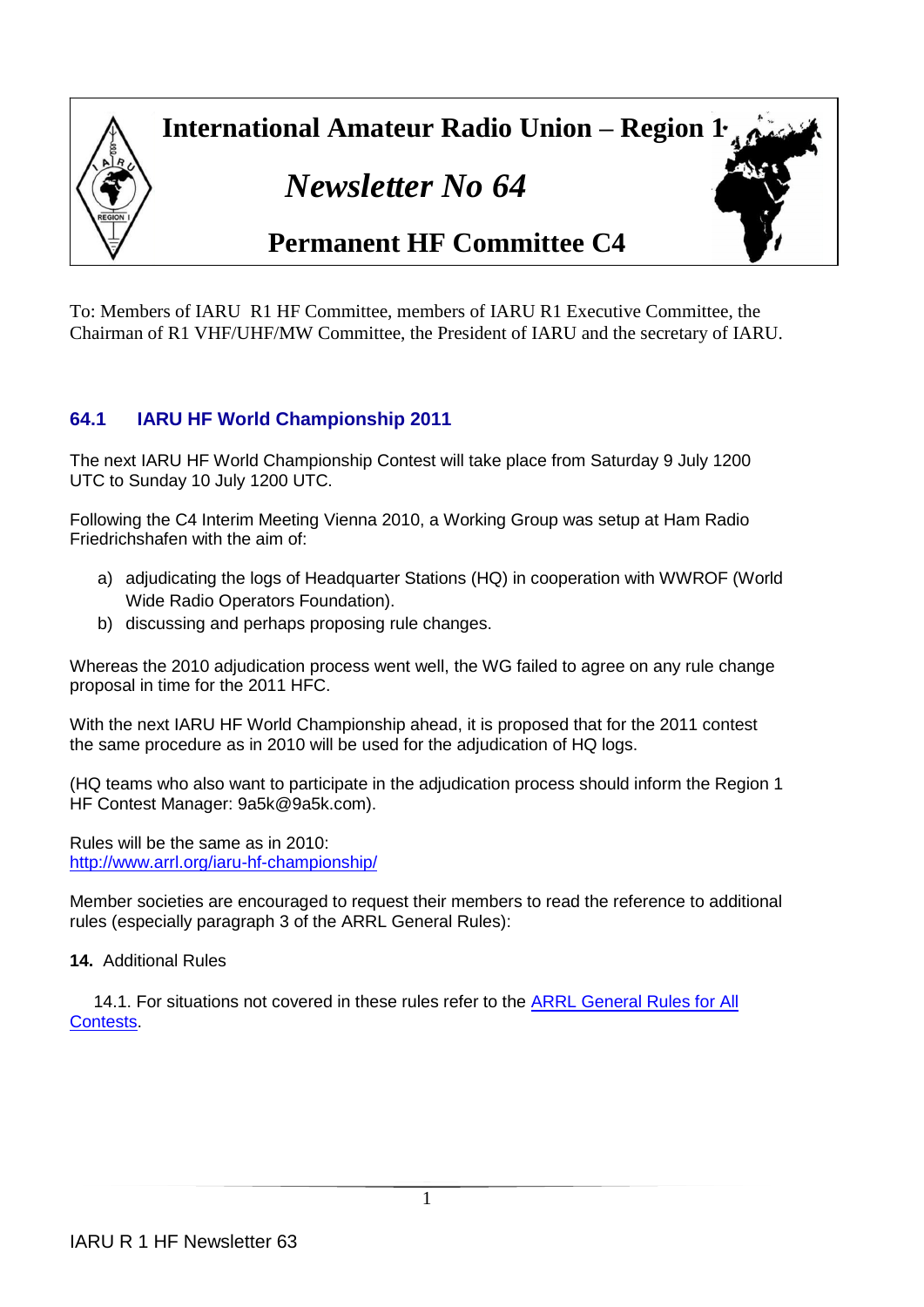

To: Members of IARU R1 HF Committee, members of IARU R1 Executive Committee, the Chairman of R1 VHF/UHF/MW Committee, the President of IARU and the secretary of IARU.

# **64.1 IARU HF World Championship 2011**

The next IARU HF World Championship Contest will take place from Saturday 9 July 1200 UTC to Sunday 10 July 1200 UTC.

Following the C4 Interim Meeting Vienna 2010, a Working Group was setup at Ham Radio Friedrichshafen with the aim of:

- a) adjudicating the logs of Headquarter Stations (HQ) in cooperation with WWROF (World Wide Radio Operators Foundation).
- b) discussing and perhaps proposing rule changes.

Whereas the 2010 adjudication process went well, the WG failed to agree on any rule change proposal in time for the 2011 HFC.

With the next IARU HF World Championship ahead, it is proposed that for the 2011 contest the same procedure as in 2010 will be used for the adjudication of HQ logs.

(HQ teams who also want to participate in the adjudication process should inform the Region 1 HF Contest Manager: 9a5k@9a5k.com).

Rules will be the same as in 2010: <http://www.arrl.org/iaru-hf-championship/>

Member societies are encouraged to request their members to read the reference to additional rules (especially paragraph 3 of the ARRL General Rules):

**14.** Additional Rules

14.1. For situations not covered in these rules refer to the ARRL General Rules for All [Contests.](http://www.arrl.org/general-rules-for-all-arrl-contests)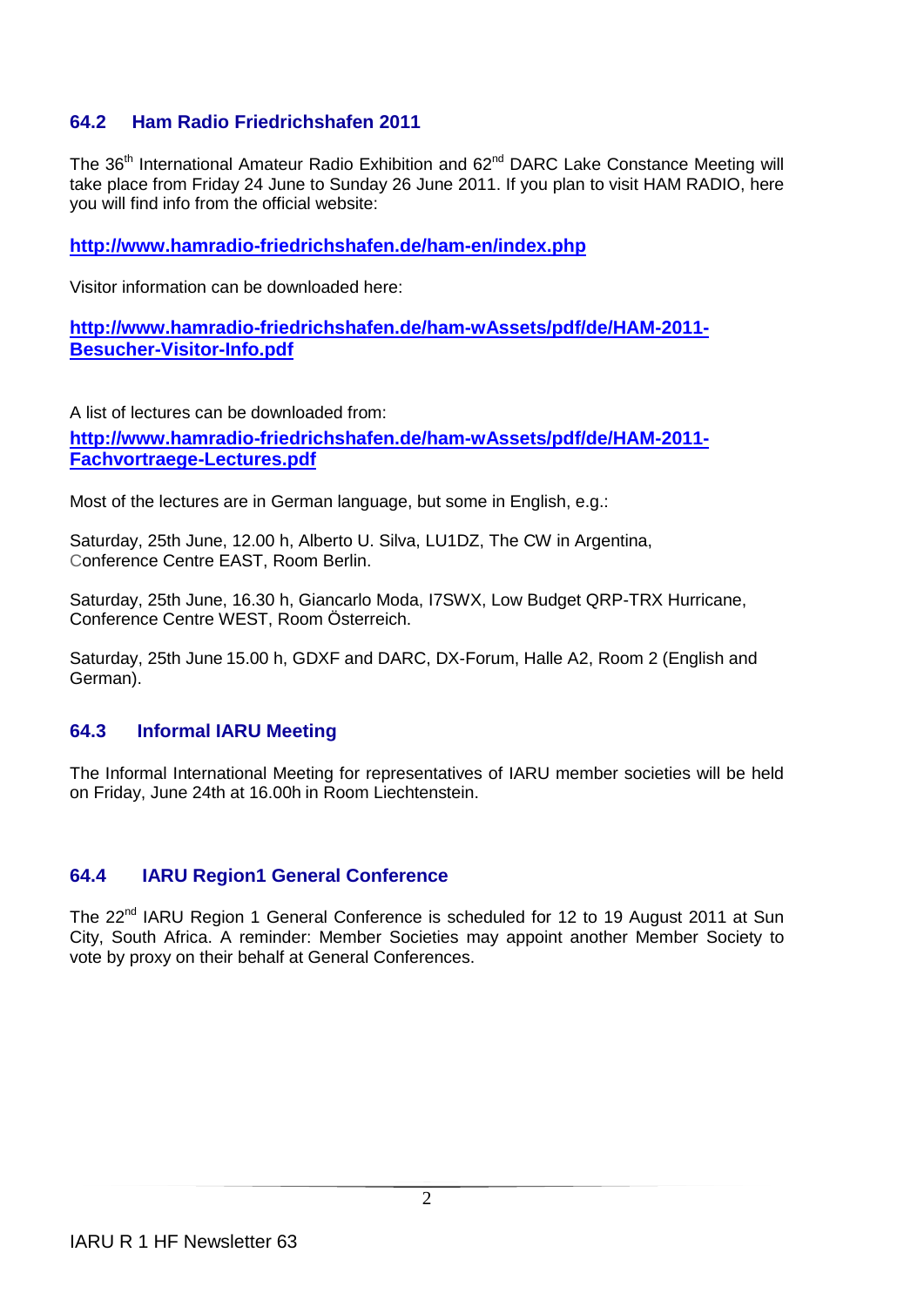## **64.2 Ham Radio Friedrichshafen 2011**

The 36<sup>th</sup> International Amateur Radio Exhibition and 62<sup>nd</sup> DARC Lake Constance Meeting will take place from Friday 24 June to Sunday 26 June 2011. If you plan to visit HAM RADIO, here you will find info from the official website:

**<http://www.hamradio-friedrichshafen.de/ham-en/index.php>**

Visitor information can be downloaded here:

**[http://www.hamradio-friedrichshafen.de/ham-wAssets/pdf/de/HAM-2011-](http://www.hamradio-friedrichshafen.de/ham-wAssets/pdf/de/HAM-2011-Besucher-Visitor-Info.pdf) [Besucher-Visitor-Info.pdf](http://www.hamradio-friedrichshafen.de/ham-wAssets/pdf/de/HAM-2011-Besucher-Visitor-Info.pdf)**

A list of lectures can be downloaded from: **[http://www.hamradio-friedrichshafen.de/ham-wAssets/pdf/de/HAM-2011-](http://www.hamradio-friedrichshafen.de/ham-wAssets/pdf/de/HAM-2011-Fachvortraege-Lectures.pdf) [Fachvortraege-Lectures.pdf](http://www.hamradio-friedrichshafen.de/ham-wAssets/pdf/de/HAM-2011-Fachvortraege-Lectures.pdf)**

Most of the lectures are in German language, but some in English, e.g.:

Saturday, 25th June, 12.00 h, Alberto U. Silva, LU1DZ, The CW in Argentina, Conference Centre EAST, Room Berlin.

Saturday, 25th June, 16.30 h, Giancarlo Moda, I7SWX, Low Budget QRP-TRX Hurricane, Conference Centre WEST, Room Österreich.

Saturday, 25th June 15.00 h, GDXF and DARC, DX-Forum, Halle A2, Room 2 (English and German).

## **64.3 Informal IARU Meeting**

The Informal International Meeting for representatives of IARU member societies will be held on Friday, June 24th at 16.00h in Room Liechtenstein.

## **64.4 IARU Region1 General Conference**

The 22<sup>nd</sup> IARU Region 1 General Conference is scheduled for 12 to 19 August 2011 at Sun City, South Africa. A reminder: Member Societies may appoint another Member Society to vote by proxy on their behalf at General Conferences.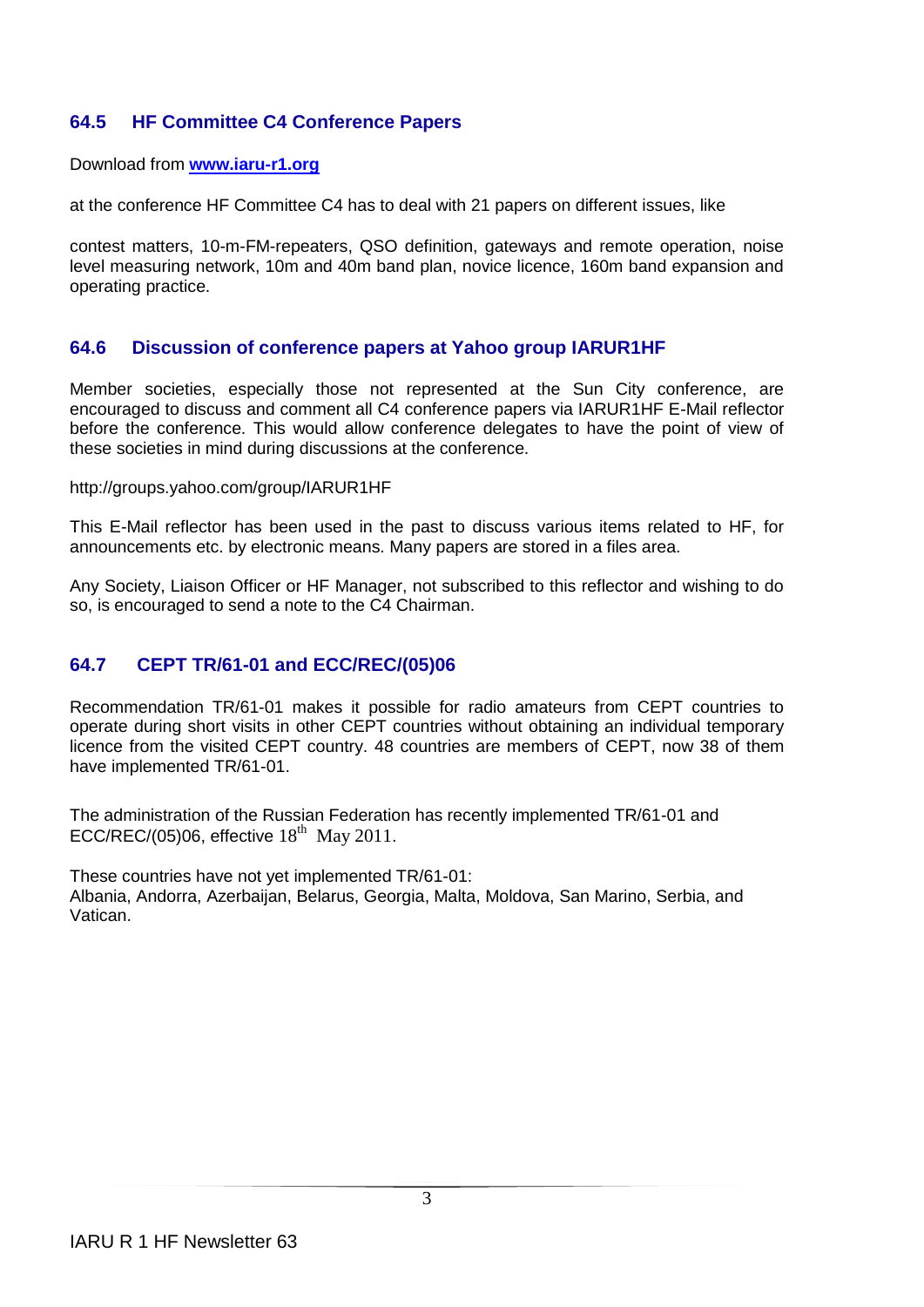## **64.5 HF Committee C4 Conference Papers**

Download from **[www.iaru-r1.org](http://www.iaru-r1.org/)**

at the conference HF Committee C4 has to deal with 21 papers on different issues, like

contest matters, 10-m-FM-repeaters, QSO definition, gateways and remote operation, noise level measuring network, 10m and 40m band plan, novice licence, 160m band expansion and operating practice.

## **64.6 Discussion of conference papers at Yahoo group IARUR1HF**

Member societies, especially those not represented at the Sun City conference, are encouraged to discuss and comment all C4 conference papers via IARUR1HF E-Mail reflector before the conference. This would allow conference delegates to have the point of view of these societies in mind during discussions at the conference.

#### http://groups.yahoo.com/group/IARUR1HF

This E-Mail reflector has been used in the past to discuss various items related to HF, for announcements etc. by electronic means. Many papers are stored in a files area.

Any Society, Liaison Officer or HF Manager, not subscribed to this reflector and wishing to do so, is encouraged to send a note to the C4 Chairman.

## **64.7 CEPT TR/61-01 and ECC/REC/(05)06**

Recommendation TR/61-01 makes it possible for radio amateurs from CEPT countries to operate during short visits in other CEPT countries without obtaining an individual temporary licence from the visited CEPT country. 48 countries are members of CEPT, now 38 of them have implemented TR/61-01.

The administration of the Russian Federation has recently implemented TR/61-01 and ECC/REC/(05)06, effective  $18<sup>th</sup>$  May 2011.

These countries have not yet implemented TR/61-01: Albania, Andorra, Azerbaijan, Belarus, Georgia, Malta, Moldova, San Marino, Serbia, and Vatican.